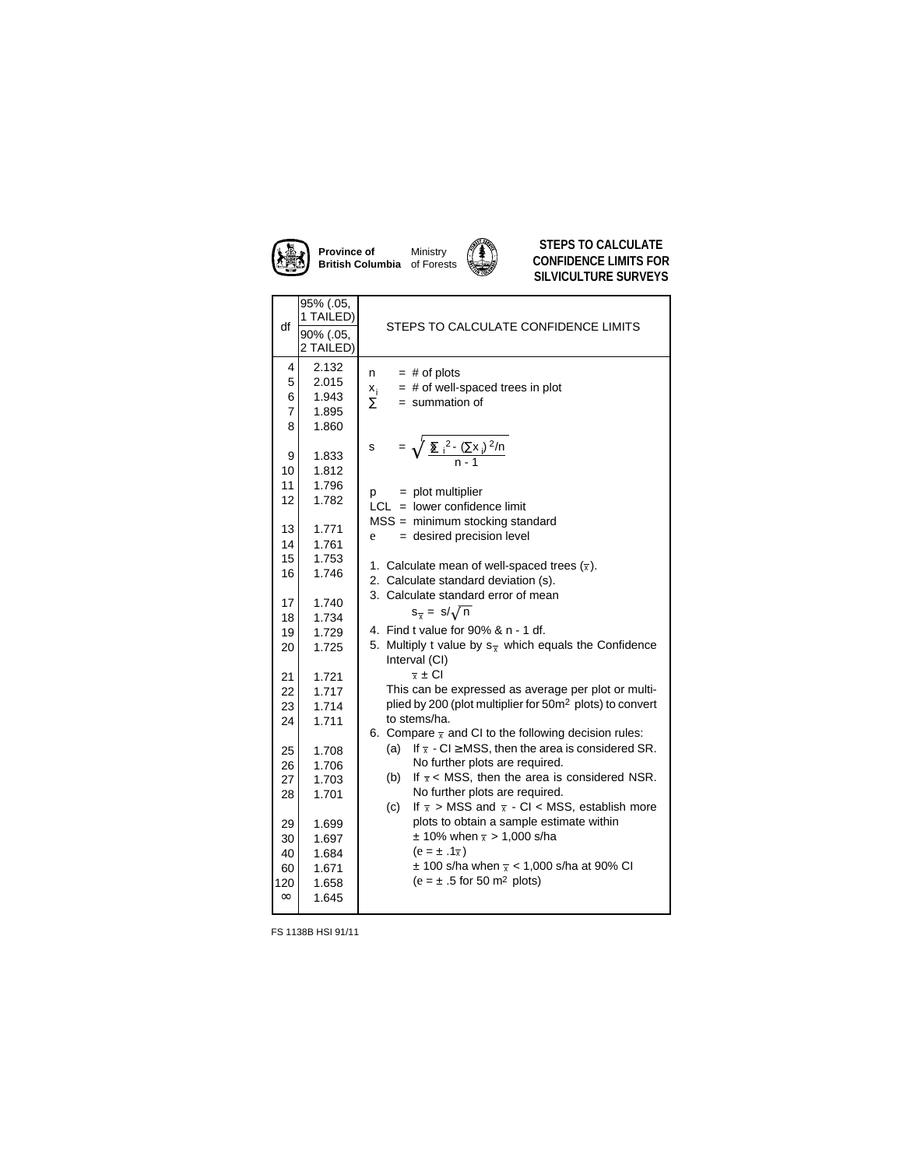

**Province of British Columbia** Ministry of Forests



**STEPS TO CALCULATE CONFIDENCE LIMITS FOR SILVICULTURE SURVEYS**

| df                                                              | 95% (.05,<br>1 TAILED)                                                                 |                                                                                                                                                                                                                                                                                                                                                                                                                                                                                                                                                                                            |  |  |
|-----------------------------------------------------------------|----------------------------------------------------------------------------------------|--------------------------------------------------------------------------------------------------------------------------------------------------------------------------------------------------------------------------------------------------------------------------------------------------------------------------------------------------------------------------------------------------------------------------------------------------------------------------------------------------------------------------------------------------------------------------------------------|--|--|
|                                                                 | 90% (.05,<br>2 TAILED)                                                                 | STEPS TO CALCULATE CONFIDENCE LIMITS                                                                                                                                                                                                                                                                                                                                                                                                                                                                                                                                                       |  |  |
| 4<br>5<br>6<br>$\overline{7}$<br>8                              | 2.132<br>2.015<br>1.943<br>1.895<br>1.860                                              | $=$ # of plots<br>n<br>$=$ # of well-spaced trees in plot<br>$\frac{x_i}{\Sigma}$<br>$=$ summation of                                                                                                                                                                                                                                                                                                                                                                                                                                                                                      |  |  |
| 9<br>10<br>11<br>12                                             | 1.833<br>1.812<br>1.796<br>1.782                                                       | = $\sqrt{\frac{\sum_{i}^{2} ((\sum x_i)^2/n}{n-1}}$<br>s<br>$=$ plot multiplier<br>p<br>$LCL = lower confidence$ limit                                                                                                                                                                                                                                                                                                                                                                                                                                                                     |  |  |
| 13<br>14                                                        | 1.771<br>1.761                                                                         | $MSS =$ minimum stocking standard<br>= desired precision level<br>e<br>1. Calculate mean of well-spaced trees $(\overline{x})$ .<br>2. Calculate standard deviation (s).<br>3. Calculate standard error of mean<br>$s_{\overline{x}} = s/\sqrt{n}$<br>4. Find t value for 90% & n - 1 df.<br>5. Multiply t value by $s_{\overline{x}}$ which equals the Confidence<br>Interval (CI)<br>$\overline{x} \pm \overline{C}$ l<br>This can be expressed as average per plot or multi-<br>plied by 200 (plot multiplier for 50m <sup>2</sup> plots) to convert<br>to stems/ha.                    |  |  |
| 15<br>16                                                        | 1.753<br>1.746                                                                         |                                                                                                                                                                                                                                                                                                                                                                                                                                                                                                                                                                                            |  |  |
| 17<br>18<br>19                                                  | 1.740<br>1.734<br>1.729                                                                |                                                                                                                                                                                                                                                                                                                                                                                                                                                                                                                                                                                            |  |  |
| 20<br>21                                                        | 1.725                                                                                  |                                                                                                                                                                                                                                                                                                                                                                                                                                                                                                                                                                                            |  |  |
| 22<br>23<br>24                                                  | 1.721<br>1.717<br>1.714<br>1.711                                                       |                                                                                                                                                                                                                                                                                                                                                                                                                                                                                                                                                                                            |  |  |
| 25<br>26<br>27<br>28<br>29<br>30<br>40<br>60<br>120<br>$\infty$ | 1.708<br>1.706<br>1.703<br>1.701<br>1.699<br>1.697<br>1.684<br>1.671<br>1.658<br>1.645 | 6. Compare $\bar{x}$ and CI to the following decision rules:<br>If $\overline{x}$ - CI $\geq$ MSS, then the area is considered SR.<br>(a)<br>No further plots are required.<br>If $\overline{x}$ < MSS, then the area is considered NSR.<br>(b)<br>No further plots are required.<br>If $\overline{x}$ > MSS and $\overline{x}$ - CI < MSS, establish more<br>(c)<br>plots to obtain a sample estimate within<br>$\pm$ 10% when $\bar{x}$ > 1,000 s/ha<br>$(e = \pm .1\overline{x})$<br>$\pm$ 100 s/ha when $\bar{x}$ < 1,000 s/ha at 90% CI<br>$(e = \pm .5$ for 50 m <sup>2</sup> plots) |  |  |

FS 1138B HSI 91/11